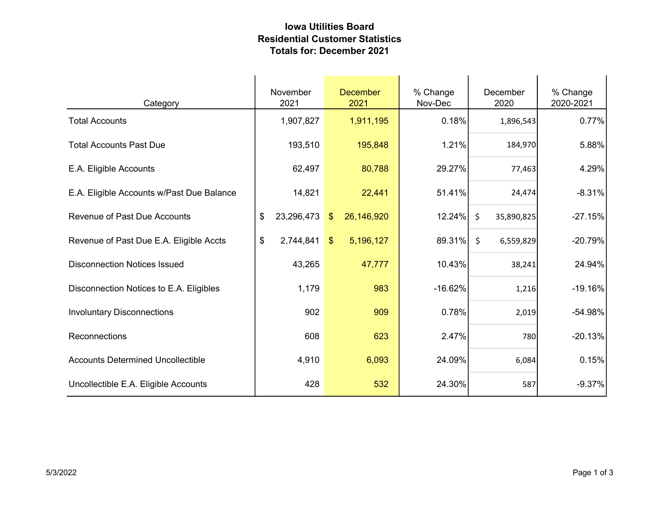## Iowa Utilities Board Residential Customer Statistics Totals for: December 2021

| Category                                  | November<br>2021 | <b>December</b><br>2021     | % Change<br>Nov-Dec | December<br>2020      | % Change<br>2020-2021 |
|-------------------------------------------|------------------|-----------------------------|---------------------|-----------------------|-----------------------|
| <b>Total Accounts</b>                     | 1,907,827        | 1,911,195                   | 0.18%               | 1,896,543             | 0.77%                 |
| <b>Total Accounts Past Due</b>            | 193,510          | 195,848                     | 1.21%               | 184,970               | 5.88%                 |
| E.A. Eligible Accounts                    | 62,497           | 80,788                      | 29.27%              | 77,463                | 4.29%                 |
| E.A. Eligible Accounts w/Past Due Balance | 14,821           | 22,441                      | 51.41%              | 24,474                | $-8.31%$              |
| <b>Revenue of Past Due Accounts</b>       | \$<br>23,296,473 | 26,146,920<br>$\sqrt[6]{3}$ | 12.24%              | $\zeta$<br>35,890,825 | $-27.15%$             |
| Revenue of Past Due E.A. Eligible Accts   | \$<br>2,744,841  | 5,196,127<br>$\mathcal{S}$  | 89.31%              | $\zeta$<br>6,559,829  | $-20.79%$             |
| <b>Disconnection Notices Issued</b>       | 43,265           | 47,777                      | 10.43%              | 38,241                | 24.94%                |
| Disconnection Notices to E.A. Eligibles   | 1,179            | 983                         | $-16.62%$           | 1,216                 | $-19.16%$             |
| <b>Involuntary Disconnections</b>         | 902              | 909                         | 0.78%               | 2,019                 | -54.98%               |
| Reconnections                             | 608              | 623                         | 2.47%               | 780                   | $-20.13%$             |
| <b>Accounts Determined Uncollectible</b>  | 4,910            | 6,093                       | 24.09%              | 6,084                 | 0.15%                 |
| Uncollectible E.A. Eligible Accounts      | 428              | 532                         | 24.30%              | 587                   | $-9.37%$              |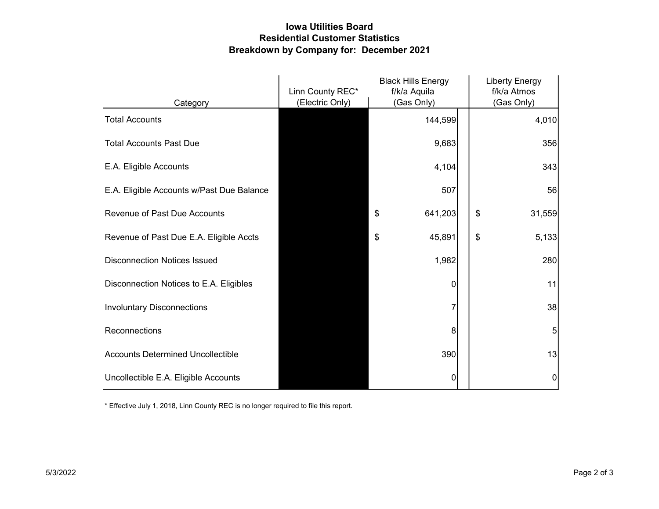## Iowa Utilities Board Residential Customer Statistics Breakdown by Company for: December 2021

|                                           | <b>Black Hills Energy</b><br>Linn County REC*<br>f/k/a Aquila |               | <b>Liberty Energy</b><br>f/k/a Atmos |
|-------------------------------------------|---------------------------------------------------------------|---------------|--------------------------------------|
| Category                                  | (Electric Only)                                               | (Gas Only)    | (Gas Only)                           |
| <b>Total Accounts</b>                     |                                                               | 144,599       | 4,010                                |
| <b>Total Accounts Past Due</b>            |                                                               | 9,683         | 356                                  |
| E.A. Eligible Accounts                    |                                                               | 4,104         | 343                                  |
| E.A. Eligible Accounts w/Past Due Balance |                                                               | 507           | 56                                   |
| <b>Revenue of Past Due Accounts</b>       |                                                               | \$<br>641,203 | \$<br>31,559                         |
| Revenue of Past Due E.A. Eligible Accts   |                                                               | \$<br>45,891  | \$<br>5,133                          |
| <b>Disconnection Notices Issued</b>       |                                                               | 1,982         | 280                                  |
| Disconnection Notices to E.A. Eligibles   |                                                               | 0             | 11                                   |
| <b>Involuntary Disconnections</b>         |                                                               | 7             | 38                                   |
| Reconnections                             |                                                               | 8             | 5                                    |
| <b>Accounts Determined Uncollectible</b>  |                                                               | 390           | 13                                   |
| Uncollectible E.A. Eligible Accounts      |                                                               | 0             | 0                                    |

\* Effective July 1, 2018, Linn County REC is no longer required to file this report.